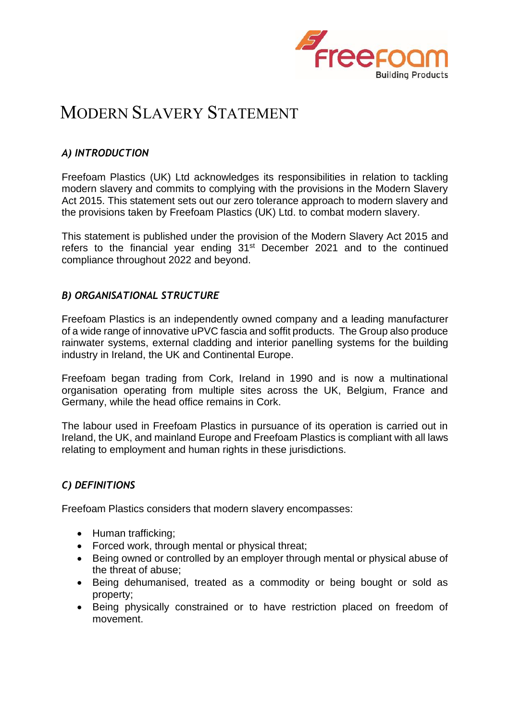

# MODERN SLAVERY STATEMENT

### *A) INTRODUCTION*

Freefoam Plastics (UK) Ltd acknowledges its responsibilities in relation to tackling modern slavery and commits to complying with the provisions in the Modern Slavery Act 2015. This statement sets out our zero tolerance approach to modern slavery and the provisions taken by Freefoam Plastics (UK) Ltd. to combat modern slavery.

This statement is published under the provision of the Modern Slavery Act 2015 and refers to the financial year ending 31<sup>st</sup> December 2021 and to the continued compliance throughout 2022 and beyond.

#### *B) ORGANISATIONAL STRUCTURE*

Freefoam Plastics is an independently owned company and a leading manufacturer of a wide range of innovative uPVC fascia and soffit products. The Group also produce rainwater systems, external cladding and interior panelling systems for the building industry in Ireland, the UK and Continental Europe.

Freefoam began trading from Cork, Ireland in 1990 and is now a multinational organisation operating from multiple sites across the UK, Belgium, France and Germany, while the head office remains in Cork.

The labour used in Freefoam Plastics in pursuance of its operation is carried out in Ireland, the UK, and mainland Europe and Freefoam Plastics is compliant with all laws relating to employment and human rights in these jurisdictions.

# *C) DEFINITIONS*

Freefoam Plastics considers that modern slavery encompasses:

- Human trafficking;
- Forced work, through mental or physical threat;
- Being owned or controlled by an employer through mental or physical abuse of the threat of abuse;
- Being dehumanised, treated as a commodity or being bought or sold as property;
- Being physically constrained or to have restriction placed on freedom of movement.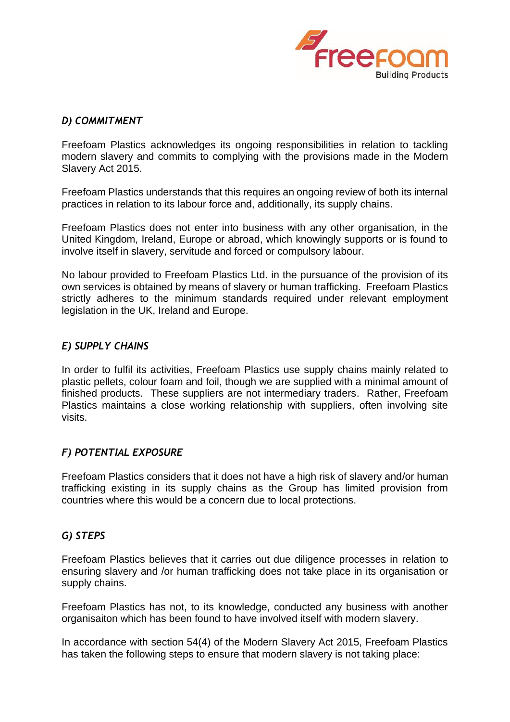

### *D) COMMITMENT*

Freefoam Plastics acknowledges its ongoing responsibilities in relation to tackling modern slavery and commits to complying with the provisions made in the Modern Slavery Act 2015.

Freefoam Plastics understands that this requires an ongoing review of both its internal practices in relation to its labour force and, additionally, its supply chains.

Freefoam Plastics does not enter into business with any other organisation, in the United Kingdom, Ireland, Europe or abroad, which knowingly supports or is found to involve itself in slavery, servitude and forced or compulsory labour.

No labour provided to Freefoam Plastics Ltd. in the pursuance of the provision of its own services is obtained by means of slavery or human trafficking. Freefoam Plastics strictly adheres to the minimum standards required under relevant employment legislation in the UK, Ireland and Europe.

#### *E) SUPPLY CHAINS*

In order to fulfil its activities, Freefoam Plastics use supply chains mainly related to plastic pellets, colour foam and foil, though we are supplied with a minimal amount of finished products. These suppliers are not intermediary traders. Rather, Freefoam Plastics maintains a close working relationship with suppliers, often involving site visits.

#### *F) POTENTIAL EXPOSURE*

Freefoam Plastics considers that it does not have a high risk of slavery and/or human trafficking existing in its supply chains as the Group has limited provision from countries where this would be a concern due to local protections.

# *G) STEPS*

Freefoam Plastics believes that it carries out due diligence processes in relation to ensuring slavery and /or human trafficking does not take place in its organisation or supply chains.

Freefoam Plastics has not, to its knowledge, conducted any business with another organisaiton which has been found to have involved itself with modern slavery.

In accordance with section 54(4) of the Modern Slavery Act 2015, Freefoam Plastics has taken the following steps to ensure that modern slavery is not taking place: